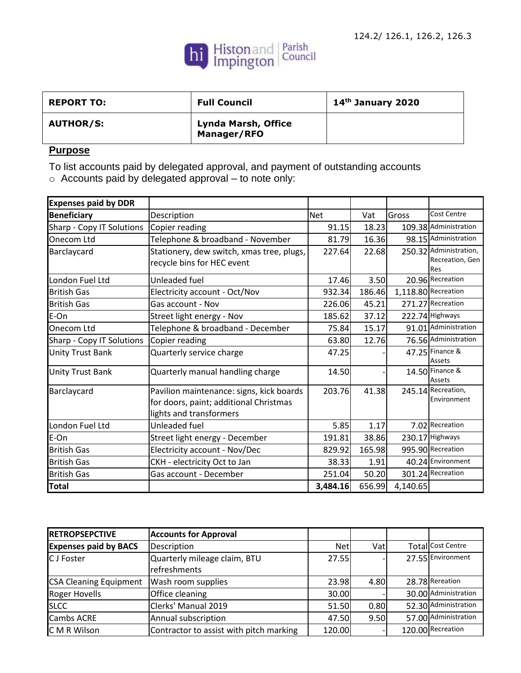

| <b>REPORT TO:</b> | <b>Full Council</b>                       | 14 <sup>th</sup> January 2020 |
|-------------------|-------------------------------------------|-------------------------------|
| <b>AUTHOR/S:</b>  | <b>Lynda Marsh, Office</b><br>Manager/RFO |                               |

## **Purpose**

To list accounts paid by delegated approval, and payment of outstanding accounts

o Accounts paid by delegated approval – to note only:

| <b>Expenses paid by DDR</b> |                                                                                                               |            |        |          |                                                  |
|-----------------------------|---------------------------------------------------------------------------------------------------------------|------------|--------|----------|--------------------------------------------------|
| <b>Beneficiary</b>          | Description                                                                                                   | <b>Net</b> | Vat    | Gross    | <b>Cost Centre</b>                               |
| Sharp - Copy IT Solutions   | Copier reading                                                                                                | 91.15      | 18.23  |          | 109.38 Administration                            |
| Onecom Ltd                  | Telephone & broadband - November                                                                              | 81.79      | 16.36  |          | 98.15 Administration                             |
| Barclaycard                 | Stationery, dew switch, xmas tree, plugs,<br>recycle bins for HEC event                                       | 227.64     | 22.68  |          | 250.32 Administration,<br>Recreation, Gen<br>Res |
| London Fuel Ltd             | Unleaded fuel                                                                                                 | 17.46      | 3.50   |          | 20.96 Recreation                                 |
| <b>British Gas</b>          | Electricity account - Oct/Nov                                                                                 | 932.34     | 186.46 |          | $1,118.80$ Recreation                            |
| <b>British Gas</b>          | Gas account - Nov                                                                                             | 226.06     | 45.21  |          | 271.27 Recreation                                |
| E-On                        | Street light energy - Nov                                                                                     | 185.62     | 37.12  |          | 222.74 Highways                                  |
| Onecom Ltd                  | Telephone & broadband - December                                                                              | 75.84      | 15.17  |          | 91.01 Administration                             |
| Sharp - Copy IT Solutions   | Copier reading                                                                                                | 63.80      | 12.76  |          | 76.56 Administration                             |
| <b>Unity Trust Bank</b>     | Quarterly service charge                                                                                      | 47.25      |        |          | 47.25 Finance &<br><b>Assets</b>                 |
| <b>Unity Trust Bank</b>     | Quarterly manual handling charge                                                                              | 14.50      |        |          | 14.50 Finance &<br>Assets                        |
| Barclaycard                 | Pavilion maintenance: signs, kick boards<br>for doors, paint; additional Christmas<br>lights and transformers | 203.76     | 41.38  |          | 245.14 Recreation,<br>Environment                |
| London Fuel Ltd             | Unleaded fuel                                                                                                 | 5.85       | 1.17   |          | 7.02 Recreation                                  |
| E-On                        | Street light energy - December                                                                                | 191.81     | 38.86  |          | 230.17 Highways                                  |
| <b>British Gas</b>          | Electricity account - Nov/Dec                                                                                 | 829.92     | 165.98 |          | 995.90 Recreation                                |
| <b>British Gas</b>          | CKH - electricity Oct to Jan                                                                                  | 38.33      | 1.91   |          | 40.24 Environment                                |
| <b>British Gas</b>          | Gas account - December                                                                                        | 251.04     | 50.20  |          | 301.24 Recreation                                |
| <b>Total</b>                |                                                                                                               | 3,484.16   | 656.99 | 4,140.65 |                                                  |

| <b>RETROPSEPCTIVE</b>         | <b>Accounts for Approval</b>            |            |      |                      |
|-------------------------------|-----------------------------------------|------------|------|----------------------|
| <b>Expenses paid by BACS</b>  | Description                             | <b>Net</b> | Vat  | Total Cost Centre    |
| <b>C</b> J Foster             | Quarterly mileage claim, BTU            | 27.55      |      | 27.55 Environment    |
|                               | refreshments                            |            |      |                      |
| <b>CSA Cleaning Equipment</b> | Wash room supplies                      | 23.98      | 4.80 | 28.78 Rereation      |
| <b>Roger Hovells</b>          | Office cleaning                         | 30.00      |      | 30.00 Administration |
| <b>SLCC</b>                   | Clerks' Manual 2019                     | 51.50      | 0.80 | 52.30 Administration |
| <b>Cambs ACRE</b>             | Annual subscription                     | 47.50      | 9.50 | 57.00 Administration |
| C M R Wilson                  | Contractor to assist with pitch marking | 120.00     |      | 120.00 Recreation    |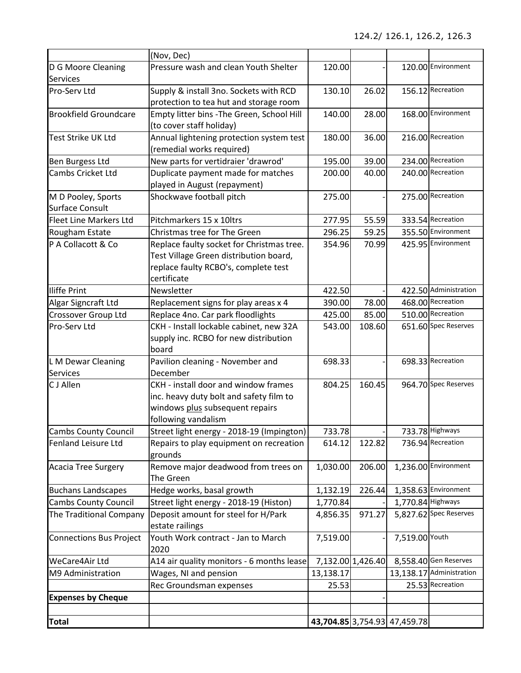|                                              | (Nov, Dec)                                                                                                                                 |           |                   |                              |                          |
|----------------------------------------------|--------------------------------------------------------------------------------------------------------------------------------------------|-----------|-------------------|------------------------------|--------------------------|
| D G Moore Cleaning<br><b>Services</b>        | Pressure wash and clean Youth Shelter                                                                                                      | 120.00    |                   |                              | 120.00 Environment       |
| Pro-Serv Ltd                                 | Supply & install 3no. Sockets with RCD<br>protection to tea hut and storage room                                                           | 130.10    | 26.02             |                              | 156.12 Recreation        |
| <b>Brookfield Groundcare</b>                 | Empty litter bins - The Green, School Hill<br>(to cover staff holiday)                                                                     | 140.00    | 28.00             |                              | 168.00 Environment       |
| Test Strike UK Ltd                           | Annual lightening protection system test<br>(remedial works required)                                                                      | 180.00    | 36.00             |                              | 216.00 Recreation        |
| Ben Burgess Ltd                              | New parts for vertidraier 'drawrod'                                                                                                        | 195.00    | 39.00             |                              | 234.00 Recreation        |
| Cambs Cricket Ltd                            | Duplicate payment made for matches<br>played in August (repayment)                                                                         | 200.00    | 40.00             |                              | 240.00 Recreation        |
| M D Pooley, Sports<br><b>Surface Consult</b> | Shockwave football pitch                                                                                                                   | 275.00    |                   |                              | 275.00 Recreation        |
| <b>Fleet Line Markers Ltd</b>                | Pitchmarkers 15 x 10ltrs                                                                                                                   | 277.95    | 55.59             |                              | 333.54 Recreation        |
| Rougham Estate                               | Christmas tree for The Green                                                                                                               | 296.25    | 59.25             |                              | 355.50 Environment       |
| P A Collacott & Co                           | Replace faulty socket for Christmas tree.<br>Test Village Green distribution board,<br>replace faulty RCBO's, complete test<br>certificate | 354.96    | 70.99             |                              | 425.95 Environment       |
| <b>Iliffe Print</b>                          | Newsletter                                                                                                                                 | 422.50    |                   |                              | 422.50 Administration    |
| Algar Signcraft Ltd                          | Replacement signs for play areas x 4                                                                                                       | 390.00    | 78.00             |                              | 468.00 Recreation        |
| Crossover Group Ltd                          | Replace 4no. Car park floodlights                                                                                                          | 425.00    | 85.00             |                              | 510.00 Recreation        |
| Pro-Serv Ltd                                 | CKH - Install lockable cabinet, new 32A<br>supply inc. RCBO for new distribution<br>board                                                  | 543.00    | 108.60            |                              | 651.60 Spec Reserves     |
| L M Dewar Cleaning<br><b>Services</b>        | Pavilion cleaning - November and<br>December                                                                                               | 698.33    |                   |                              | 698.33 Recreation        |
| C J Allen                                    | CKH - install door and window frames<br>inc. heavy duty bolt and safety film to<br>windows plus subsequent repairs<br>following vandalism  | 804.25    | 160.45            |                              | 964.70 Spec Reserves     |
| <b>Cambs County Council</b>                  | Street light energy - 2018-19 (Impington)                                                                                                  | 733.78    |                   |                              | 733.78 Highways          |
| Fenland Leisure Ltd                          | Repairs to play equipment on recreation<br>grounds                                                                                         | 614.12    | 122.82            |                              | 736.94 Recreation        |
| <b>Acacia Tree Surgery</b>                   | Remove major deadwood from trees on<br>The Green                                                                                           | 1,030.00  | 206.00            |                              | 1,236.00 Environment     |
| <b>Buchans Landscapes</b>                    | Hedge works, basal growth                                                                                                                  | 1,132.19  | 226.44            |                              | 1,358.63 Environment     |
| <b>Cambs County Council</b>                  | Street light energy - 2018-19 (Histon)                                                                                                     | 1,770.84  |                   | 1,770.84 Highways            |                          |
| The Traditional Company                      | Deposit amount for steel for H/Park<br>estate railings                                                                                     | 4,856.35  | 971.27            |                              | 5,827.62 Spec Reserves   |
| <b>Connections Bus Project</b>               | Youth Work contract - Jan to March<br>2020                                                                                                 | 7,519.00  |                   | 7,519.00 Youth               |                          |
| WeCare4Air Ltd                               | A14 air quality monitors - 6 months lease                                                                                                  |           | 7,132.00 1,426.40 |                              | 8,558.40 Gen Reserves    |
| M9 Administration                            | Wages, NI and pension                                                                                                                      | 13,138.17 |                   |                              | 13,138.17 Administration |
|                                              | Rec Groundsman expenses                                                                                                                    | 25.53     |                   |                              | 25.53 Recreation         |
| <b>Expenses by Cheque</b>                    |                                                                                                                                            |           |                   |                              |                          |
|                                              |                                                                                                                                            |           |                   |                              |                          |
| <b>Total</b>                                 |                                                                                                                                            |           |                   | 43,704.85 3,754.93 47,459.78 |                          |